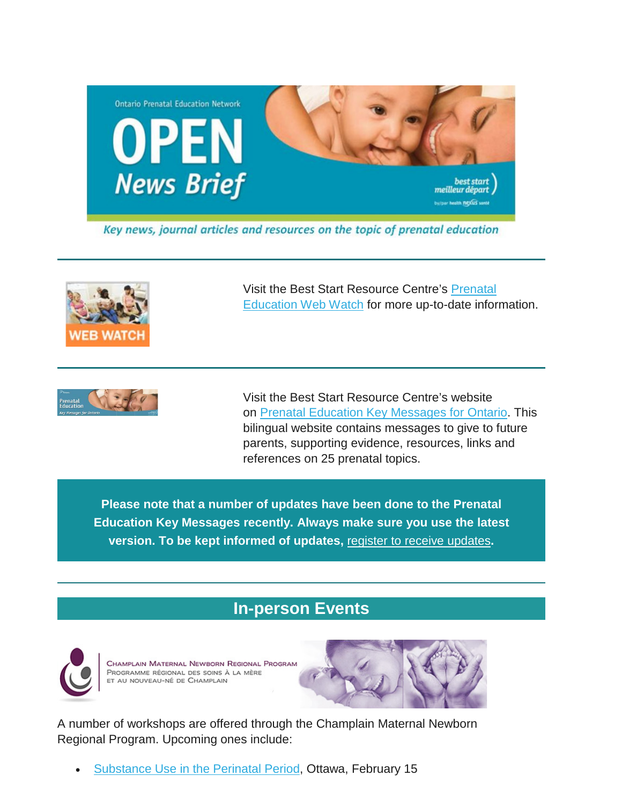

Key news, journal articles and resources on the topic of prenatal education



Visit the Best Start Resource Centre's [Prenatal](http://www.netvibes.com/bsrcprenatal#General)  [Education Web Watch](http://www.netvibes.com/bsrcprenatal#General) for more up-to-date information.



Visit the Best Start Resource Centre's website on [Prenatal Education Key Messages for Ontario.](http://www.ontarioprenataleducation.ca/) This bilingual website contains messages to give to future parents, supporting evidence, resources, links and references on 25 prenatal topics.

**Please note that a number of updates have been done to the Prenatal Education Key Messages recently. Always make sure you use the latest version. To be kept informed of updates,** [register to receive updates](http://www.ontarioprenataleducation.ca/register/)**.**

## **[In-person Events](http://)**



CHAMPLAIN MATERNAL NEWBORN REGIONAL PROGRAM PROGRAMME RÉGIONAL DES SOINS À LA MÈRE<br>ET AU NOUVEAU-NÉ DE CHAMPLAIN



A number of workshops are offered through the Champlain Maternal Newborn Regional Program. Upcoming ones include:

• [Substance Use in the Perinatal Period,](https://cmnrp.simplesignup.ca/en/2901/index.php?m=eventSummary) Ottawa, February 15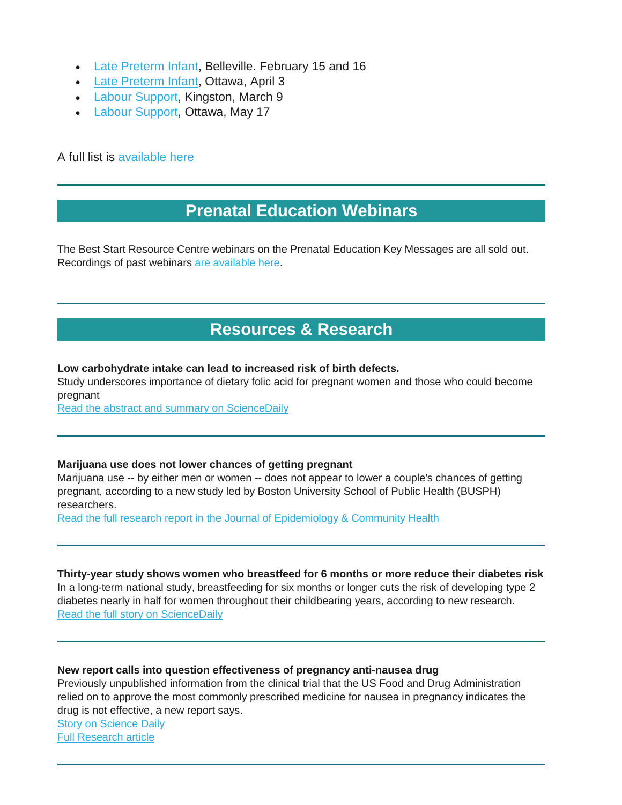- [Late Preterm Infant,](https://cmnrp.simplesignup.ca/en/2957/index.php?m=eventSummary) Belleville. February 15 and 16
- [Late Preterm Infant,](https://cmnrp.simplesignup.ca/en/2969/index.php?m=eventSummary) Ottawa, April 3
- [Labour Support,](https://cmnrp.simplesignup.ca/en/2967/index.php?m=eventSummary) Kingston, March 9
- [Labour Support,](https://cmnrp.simplesignup.ca/en/3065/index.php?m=eventSummary) Ottawa, May 17

A full list is [available here](https://cmnrp.simplesignup.ca/en/2957/index.php?m=eventsList)

# **[Prenatal Education Webinars](http://en.beststart.org/)**

The Best Start Resource Centre webinars on the Prenatal Education Key Messages are all sold out. Recordings of past webinars [are available here.](http://en.beststart.org/past-events/webinar-recordings)

# **[Resources & Research](http://)**

#### **Low carbohydrate intake can lead to increased risk of birth defects.**

Study underscores importance of dietary folic acid for pregnant women and those who could become pregnant

[Read the abstract and summary on ScienceDaily](https://www.sciencedaily.com/releases/2018/01/180125085105.htm)

#### **Marijuana use does not lower chances of getting pregnant**

Marijuana use -- by either men or women -- does not appear to lower a couple's chances of getting pregnant, according to a new study led by Boston University School of Public Health (BUSPH) researchers.

[Read the full research report in the Journal of Epidemiology & Community Health](http://jech.bmj.com/content/early/2017/12/21/jech-2017-209755)

**Thirty-year study shows women who breastfeed for 6 months or more reduce their diabetes risk** In a long-term national study, breastfeeding for six months or longer cuts the risk of developing type 2 diabetes nearly in half for women throughout their childbearing years, according to new research. [Read the full story on ScienceDaily](https://www.sciencedaily.com/releases/2018/01/180117185037.htm)

#### **New report calls into question effectiveness of pregnancy anti-nausea drug**

Previously unpublished information from the clinical trial that the US Food and Drug Administration relied on to approve the most commonly prescribed medicine for nausea in pregnancy indicates the drug is not effective, a new report says.

[Story on Science Daily](https://www.sciencedaily.com/releases/2018/01/180117141300.htm) [Full Research article](http://journals.plos.org/plosone/article?id=10.1371/journal.pone.0189978)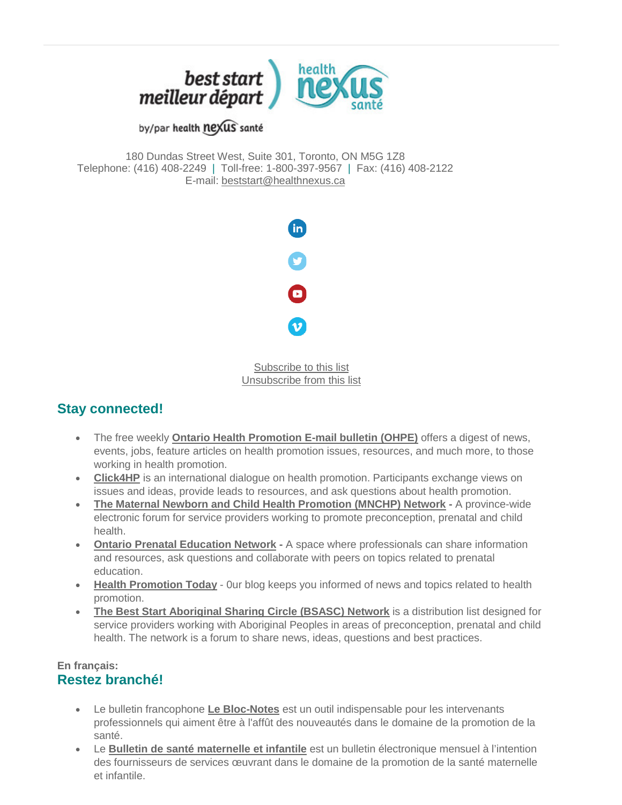

## by/par health nexus santé

180 Dundas Street West, Suite 301, Toronto, ON M5G 1Z8 Telephone: (416) 408-2249 | Toll-free: 1-800-397-9567 | Fax: (416) 408-2122 E-mail: [beststart@healthnexus.ca](mailto:beststart@healthnexus.ca?subject=Contact%20Us)



[Subscribe to this list](mailto:open@healthnexus.ca?subject=Subscribe%20to%20OPEN) [Unsubscribe from this list](mailto:open@healthnexus.ca?subject=Unsubscribe%20from%20OPEN)

## **Stay connected!**

- The free weekly **[Ontario Health Promotion E-mail bulletin \(OHPE\)](http://www.ohpe.ca/)** offers a digest of news, events, jobs, feature articles on health promotion issues, resources, and much more, to those working in health promotion.
- **[Click4HP](https://listserv.yorku.ca/archives/click4hp.html)** is an international dialogue on health promotion. Participants exchange views on issues and ideas, provide leads to resources, and ask questions about health promotion.
- **[The Maternal Newborn and Child Health Promotion \(MNCHP\) Network](http://lists.beststart.org/listinfo.cgi/mnchp-beststart.org) -** A province-wide electronic forum for service providers working to promote preconception, prenatal and child health.
- **[Ontario Prenatal Education](http://fluidsurveys.com/surveys/ohpe/subscriptionsopen2015-2016/) Network -** A space where professionals can share information and resources, ask questions and collaborate with peers on topics related to prenatal education.
- **[Health Promotion Today](http://en.healthnexus.ca/)** 0ur blog keeps you informed of news and topics related to health promotion.
- **[The Best Start Aboriginal Sharing Circle \(BSASC\) Network](http://lists.beststart.org/listinfo.cgi/bsasc-beststart.org)** is a distribution list designed for service providers working with Aboriginal Peoples in areas of preconception, prenatal and child health. The network is a forum to share news, ideas, questions and best practices.

#### **En français: Restez branché!**

- Le bulletin francophone **[Le Bloc-Notes](http://www.leblocnotes.ca/)** est un outil indispensable pour les intervenants professionnels qui aiment être à l'affût des nouveautés dans le domaine de la promotion de la santé.
- Le **[Bulletin de santé maternelle et infantile](http://fr.meilleurdepart.org/services/echange_d_information/bulletin-de-sant%C3%A9-maternelle-et-infantile)** est un bulletin électronique mensuel à l'intention des fournisseurs de services œuvrant dans le domaine de la promotion de la santé maternelle et infantile.